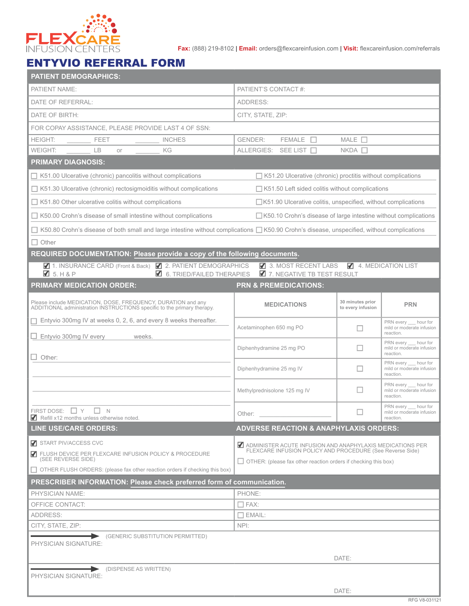

**Fax:** (888) 219-8102 | **Email:** orders@flexcareinfusion.com | **Visit:** flexcareinfusion.com/referrals

## ENTYVIO REFERRAL FORM

| <b>PATIENT DEMOGRAPHICS:</b>                                                                                                                            |                                                                                                                                    |                                                              |                                                                  |  |  |  |  |  |  |
|---------------------------------------------------------------------------------------------------------------------------------------------------------|------------------------------------------------------------------------------------------------------------------------------------|--------------------------------------------------------------|------------------------------------------------------------------|--|--|--|--|--|--|
| PATIENT NAME:                                                                                                                                           | PATIENT'S CONTACT#:                                                                                                                |                                                              |                                                                  |  |  |  |  |  |  |
| DATE OF REFERRAL:                                                                                                                                       | ADDRESS:                                                                                                                           |                                                              |                                                                  |  |  |  |  |  |  |
| DATE OF BIRTH:                                                                                                                                          | CITY, STATE, ZIP:                                                                                                                  |                                                              |                                                                  |  |  |  |  |  |  |
| FOR COPAY ASSISTANCE, PLEASE PROVIDE LAST 4 OF SSN:                                                                                                     |                                                                                                                                    |                                                              |                                                                  |  |  |  |  |  |  |
| <b>HEIGHT:</b><br><b>INCHES</b><br>FEET                                                                                                                 | $MALE$ $\square$<br><b>GENDER:</b><br><b>FEMALE</b>                                                                                |                                                              |                                                                  |  |  |  |  |  |  |
| <b>WEIGHT:</b><br><b>LB</b><br>ΚG<br>or                                                                                                                 | ALLERGIES: SEE LIST                                                                                                                | $NKDA$ $\Box$                                                |                                                                  |  |  |  |  |  |  |
| <b>PRIMARY DIAGNOSIS:</b>                                                                                                                               |                                                                                                                                    |                                                              |                                                                  |  |  |  |  |  |  |
| $\Box$ K51.00 Ulcerative (chronic) pancolitis without complications<br>$\Box$ K51.20 Ulcerative (chronic) proctitis without complications               |                                                                                                                                    |                                                              |                                                                  |  |  |  |  |  |  |
| $\Box$ K51.30 Ulcerative (chronic) rectosigmoiditis without complications                                                                               | □ K51.50 Left sided colitis without complications                                                                                  |                                                              |                                                                  |  |  |  |  |  |  |
| $\Box$ K51.80 Other ulcerative colitis without complications                                                                                            | □K51.90 Ulcerative colitis, unspecified, without complications                                                                     |                                                              |                                                                  |  |  |  |  |  |  |
| $\Box$ K50.00 Crohn's disease of small intestine without complications                                                                                  | □ K50.10 Crohn's disease of large intestine without complications                                                                  |                                                              |                                                                  |  |  |  |  |  |  |
| $\Box$ K50.80 Crohn's disease of both small and large intestine without complications $\Box$ K50.90 Crohn's disease, unspecified, without complications |                                                                                                                                    |                                                              |                                                                  |  |  |  |  |  |  |
| $\Box$ Other                                                                                                                                            |                                                                                                                                    |                                                              |                                                                  |  |  |  |  |  |  |
| <b>REQUIRED DOCUMENTATION: Please provide a copy of the following documents.</b>                                                                        |                                                                                                                                    |                                                              |                                                                  |  |  |  |  |  |  |
| 4 1. INSURANCE CARD (Front & Back) 4 2. PATIENT DEMOGRAPHICS                                                                                            | 3. MOST RECENT LABS                                                                                                                |                                                              | 4. MEDICATION LIST                                               |  |  |  |  |  |  |
| $\blacksquare$ 5. H & P<br>6. TRIED/FAILED THERAPIES<br><b>PRIMARY MEDICATION ORDER:</b>                                                                | <b>Z</b> 7. NEGATIVE TB TEST RESULT<br><b>PRN &amp; PREMEDICATIONS:</b>                                                            |                                                              |                                                                  |  |  |  |  |  |  |
|                                                                                                                                                         |                                                                                                                                    |                                                              |                                                                  |  |  |  |  |  |  |
| Please include MEDICATION, DOSE, FREQUENCY, DURATION and any<br>ADDITIONAL administration INSTRUCTIONS specific to the primary therapy.                 | <b>MEDICATIONS</b>                                                                                                                 | 30 minutes prior<br>to every infusion                        | <b>PRN</b>                                                       |  |  |  |  |  |  |
| $\Box$ Entyvio 300mg IV at weeks 0, 2, 6, and every 8 weeks thereafter.                                                                                 | Acetaminophen 650 mg PO                                                                                                            | L                                                            | PRN every hour for<br>mild or moderate infusion                  |  |  |  |  |  |  |
| $\Box$ Entyvio 300mg IV every<br>weeks.                                                                                                                 | Diphenhydramine 25 mg PO                                                                                                           | E                                                            | reaction.<br>PRN every __ hour for<br>mild or moderate infusion  |  |  |  |  |  |  |
| $\Box$ Other:                                                                                                                                           |                                                                                                                                    | reaction.<br>PRN every hour for                              |                                                                  |  |  |  |  |  |  |
|                                                                                                                                                         | Diphenhydramine 25 mg IV                                                                                                           | П<br>mild or moderate infusion<br>reaction.                  |                                                                  |  |  |  |  |  |  |
|                                                                                                                                                         | Methylprednisolone 125 mg IV                                                                                                       | PRN every hour for<br>mild or moderate infusion<br>reaction. |                                                                  |  |  |  |  |  |  |
| FIRST DOSE:<br>Y<br>$\mathbb N$<br>Refill x12 months unless otherwise noted.                                                                            | Other:                                                                                                                             |                                                              | PRN every ___ hour for<br>mild or moderate infusion<br>reaction. |  |  |  |  |  |  |
| <b>LINE USE/CARE ORDERS:</b>                                                                                                                            | <b>ADVERSE REACTION &amp; ANAPHYLAXIS ORDERS:</b>                                                                                  |                                                              |                                                                  |  |  |  |  |  |  |
| START PIV/ACCESS CVC                                                                                                                                    | ADMINISTER ACUTE INFUSION AND ANAPHYLAXIS MEDICATIONS PER                                                                          |                                                              |                                                                  |  |  |  |  |  |  |
| 7 FLUSH DEVICE PER FLEXCARE INFUSION POLICY & PROCEDURE<br>(SEE REVERSE SIDE)                                                                           | FLEXCARE INFUSION POLICY AND PROCEDURE (See Reverse Side)<br>$\Box$ OTHER: (please fax other reaction orders if checking this box) |                                                              |                                                                  |  |  |  |  |  |  |
| ◯ OTHER FLUSH ORDERS: (please fax other reaction orders if checking this box)                                                                           |                                                                                                                                    |                                                              |                                                                  |  |  |  |  |  |  |
| PRESCRIBER INFORMATION: Please check preferred form of communication.                                                                                   |                                                                                                                                    |                                                              |                                                                  |  |  |  |  |  |  |
| <b>PHYSICIAN NAME:</b>                                                                                                                                  | PHONE:                                                                                                                             |                                                              |                                                                  |  |  |  |  |  |  |
| OFFICE CONTACT:                                                                                                                                         | $\square$ FAX:                                                                                                                     |                                                              |                                                                  |  |  |  |  |  |  |
| ADDRESS:                                                                                                                                                | $\Box$ EMAIL:                                                                                                                      |                                                              |                                                                  |  |  |  |  |  |  |
| CITY, STATE, ZIP:<br>NPI:                                                                                                                               |                                                                                                                                    |                                                              |                                                                  |  |  |  |  |  |  |
| (GENERIC SUBSTITUTION PERMITTED)<br>PHYSICIAN SIGNATURE:                                                                                                |                                                                                                                                    |                                                              |                                                                  |  |  |  |  |  |  |
|                                                                                                                                                         |                                                                                                                                    |                                                              |                                                                  |  |  |  |  |  |  |
| DATE:                                                                                                                                                   |                                                                                                                                    |                                                              |                                                                  |  |  |  |  |  |  |
| (DISPENSE AS WRITTEN)<br>PHYSICIAN SIGNATURE:                                                                                                           |                                                                                                                                    |                                                              |                                                                  |  |  |  |  |  |  |
| DATE:                                                                                                                                                   |                                                                                                                                    |                                                              |                                                                  |  |  |  |  |  |  |
|                                                                                                                                                         |                                                                                                                                    |                                                              |                                                                  |  |  |  |  |  |  |